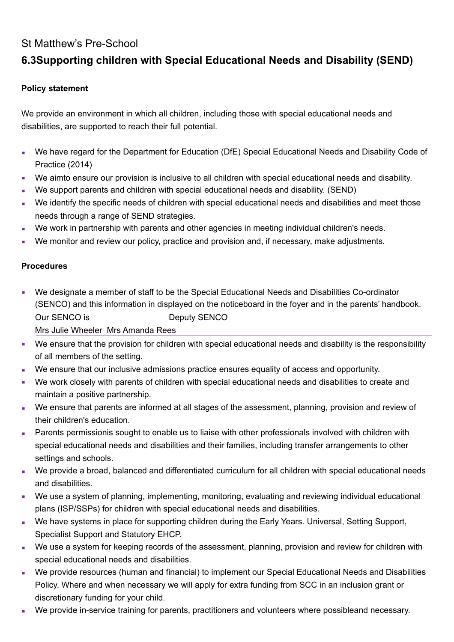## St Matthew's Pre-School

# **6.3Supporting children with Special Educational Needs and Disability (SEND)**

### **Policy statement**

We provide an environment in which all children, including those with special educational needs and disabilities, are supported to reach their full potential.

- We have regard for the Department for Education (DfE) Special Educational Needs and Disability Code of Practice (2014)
- We aimto ensure our provision is inclusive to all children with special educational needs and disability.
- We support parents and children with special educational needs and disability. (SEND)
- We identify the specific needs of children with special educational needs and disabilities and meet those needs through a range of SEND strategies.
- We work in partnership with parents and other agencies in meeting individual children's needs.
- We monitor and review our policy, practice and provision and, if necessary, make adjustments.

#### **Procedures**

- We designate a member of staff to be the Special Educational Needs and Disabilities Co-ordinator (SENCO) and this information in displayed on the noticeboard in the foyer and in the parents' handbook. Our SENCO is Deputy SENCO Mrs Julie Wheeler Mrs Amanda Rees
- We ensure that the provision for children with special educational needs and disability is the responsibility of all members of the setting.
- We ensure that our inclusive admissions practice ensures equality of access and opportunity.
- We work closely with parents of children with special educational needs and disabilities to create and maintain a positive partnership.
- We ensure that parents are informed at all stages of the assessment, planning, provision and review of their children's education.
- **Parents permissionis sought to enable us to liaise with other professionals involved with children with** special educational needs and disabilities and their families, including transfer arrangements to other settings and schools.
- We provide a broad, balanced and differentiated curriculum for all children with special educational needs and disabilities.
- We use a system of planning, implementing, monitoring, evaluating and reviewing individual educational plans (ISP/SSPs) for children with special educational needs and disabilities.
- We have systems in place for supporting children during the Early Years. Universal, Setting Support, Specialist Support and Statutory EHCP.
- We use a system for keeping records of the assessment, planning, provision and review for children with special educational needs and disabilities.
- We provide resources (human and financial) to implement our Special Educational Needs and Disabilities Policy. Where and when necessary we will apply for extra funding from SCC in an inclusion grant or discretionary funding for your child.
- We provide in-service training for parents, practitioners and volunteers where possibleand necessary.